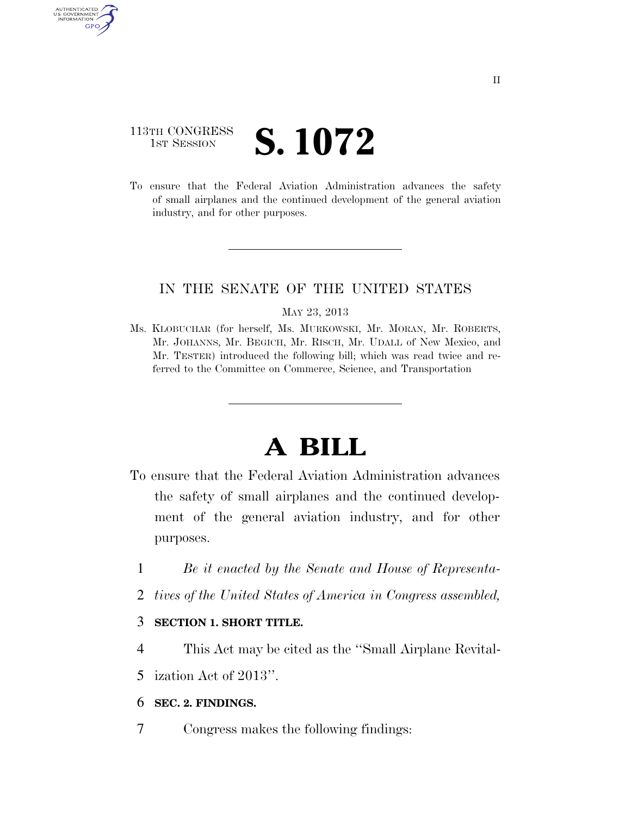# 113TH CONGRESS **1ST SESSION S. 1072**

AUTHENTICATED U.S. GOVERNMENT GPO

> To ensure that the Federal Aviation Administration advances the safety of small airplanes and the continued development of the general aviation industry, and for other purposes.

### IN THE SENATE OF THE UNITED STATES

#### MAY 23, 2013

Ms. KLOBUCHAR (for herself, Ms. MURKOWSKI, Mr. MORAN, Mr. ROBERTS, Mr. JOHANNS, Mr. BEGICH, Mr. RISCH, Mr. UDALL of New Mexico, and Mr. TESTER) introduced the following bill; which was read twice and referred to the Committee on Commerce, Science, and Transportation

# **A BILL**

- To ensure that the Federal Aviation Administration advances the safety of small airplanes and the continued development of the general aviation industry, and for other purposes.
	- 1 *Be it enacted by the Senate and House of Representa-*
	- 2 *tives of the United States of America in Congress assembled,*

### 3 **SECTION 1. SHORT TITLE.**

- 4 This Act may be cited as the ''Small Airplane Revital-
- 5 ization Act of 2013''.

## 6 **SEC. 2. FINDINGS.**

7 Congress makes the following findings: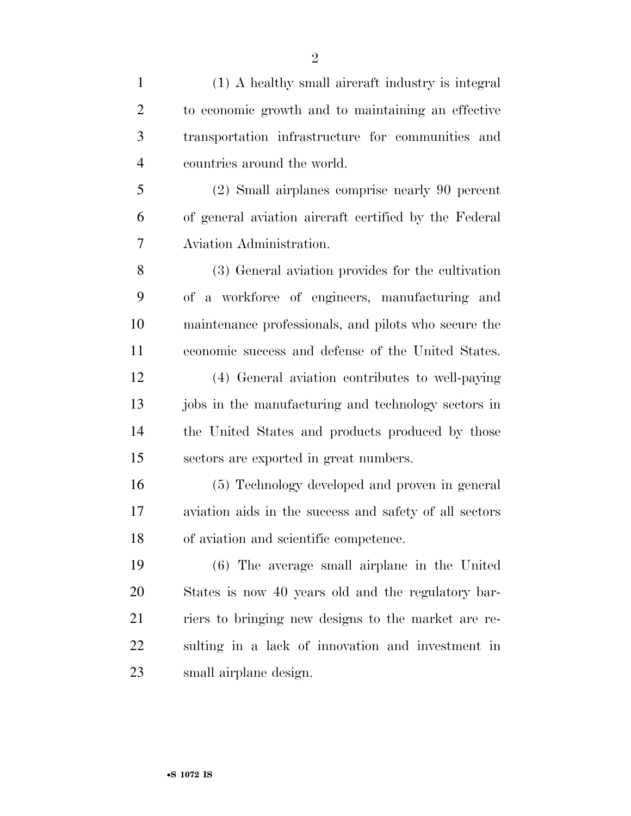| $\mathbf{1}$   | (1) A healthy small aircraft industry is integral      |
|----------------|--------------------------------------------------------|
| $\overline{2}$ | to economic growth and to maintaining an effective     |
| 3              | transportation infrastructure for communities and      |
| $\overline{4}$ | countries around the world.                            |
| 5              | (2) Small airplanes comprise nearly 90 percent         |
| 6              | of general aviation aircraft certified by the Federal  |
| 7              | Aviation Administration.                               |
| 8              | (3) General aviation provides for the cultivation      |
| 9              | of a workforce of engineers, manufacturing and         |
| 10             | maintenance professionals, and pilots who secure the   |
| 11             | economic success and defense of the United States.     |
| 12             | (4) General aviation contributes to well-paying        |
| 13             | jobs in the manufacturing and technology sectors in    |
| 14             | the United States and products produced by those       |
| 15             | sectors are exported in great numbers.                 |
| 16             | (5) Technology developed and proven in general         |
| 17             | aviation aids in the success and safety of all sectors |
| 18             | of aviation and scientific competence.                 |
| 19             | (6) The average small airplane in the United           |
| 20             | States is now 40 years old and the regulatory bar-     |
| 21             | riers to bringing new designs to the market are re-    |
| 22             | sulting in a lack of innovation and investment in      |
| 23             | small airplane design.                                 |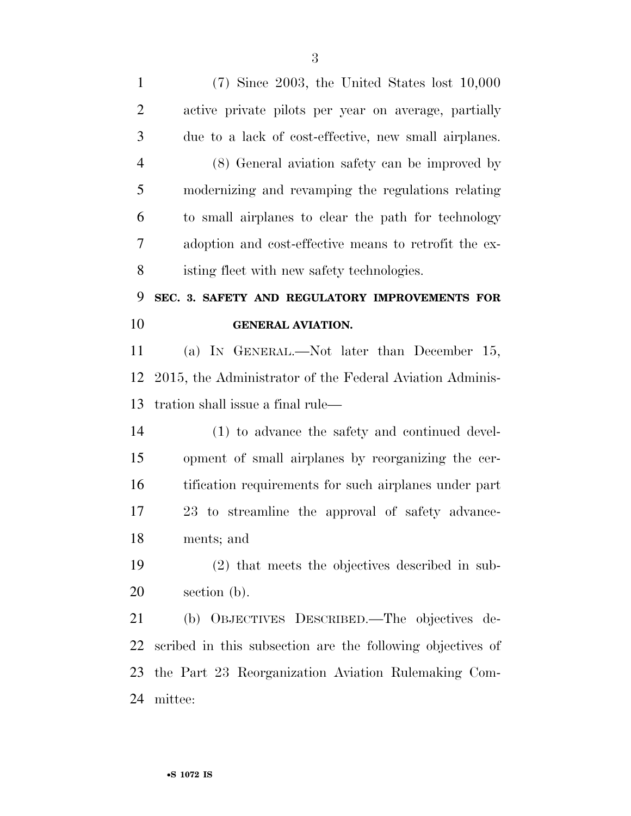(7) Since 2003, the United States lost 10,000 active private pilots per year on average, partially due to a lack of cost-effective, new small airplanes. (8) General aviation safety can be improved by modernizing and revamping the regulations relating to small airplanes to clear the path for technology adoption and cost-effective means to retrofit the ex- isting fleet with new safety technologies. **SEC. 3. SAFETY AND REGULATORY IMPROVEMENTS FOR GENERAL AVIATION.**  (a) IN GENERAL.—Not later than December 15, 2015, the Administrator of the Federal Aviation Adminis- tration shall issue a final rule— (1) to advance the safety and continued devel- opment of small airplanes by reorganizing the cer- tification requirements for such airplanes under part 23 to streamline the approval of safety advance- ments; and (2) that meets the objectives described in sub-section (b).

 (b) OBJECTIVES DESCRIBED.—The objectives de- scribed in this subsection are the following objectives of the Part 23 Reorganization Aviation Rulemaking Com-mittee: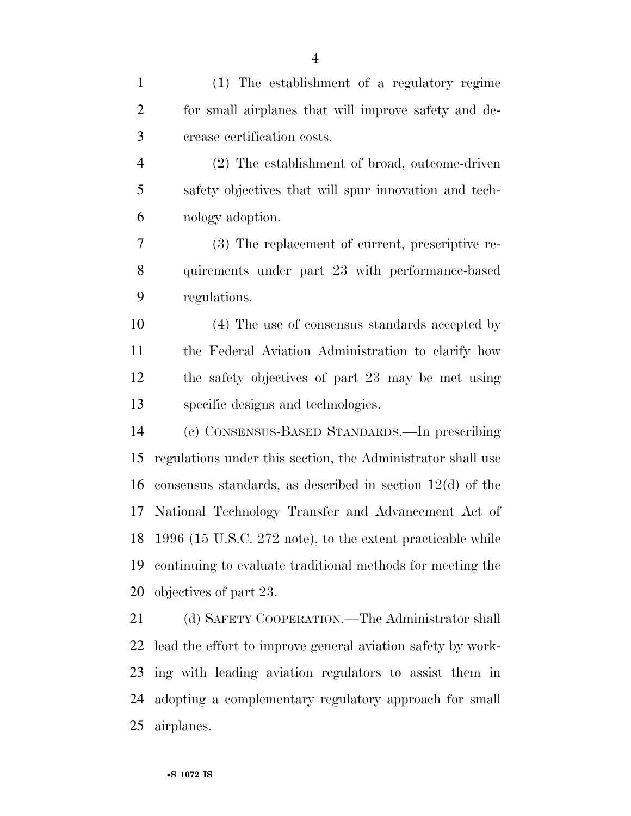| $\mathbf{1}$   | (1) The establishment of a regulatory regime                  |
|----------------|---------------------------------------------------------------|
| $\overline{2}$ | for small airplanes that will improve safety and de-          |
| 3              | crease certification costs.                                   |
| 4              | (2) The establishment of broad, outcome-driven                |
| 5              | safety objectives that will spur innovation and tech-         |
| 6              | nology adoption.                                              |
| 7              | (3) The replacement of current, prescriptive re-              |
| 8              | quirements under part 23 with performance-based               |
| 9              | regulations.                                                  |
| 10             | (4) The use of consensus standards accepted by                |
| 11             | the Federal Aviation Administration to clarify how            |
| 12             | the safety objectives of part 23 may be met using             |
| 13             | specific designs and technologies.                            |
| 14             | (c) CONSENSUS-BASED STANDARDS.—In prescribing                 |
| 15             | regulations under this section, the Administrator shall use   |
| 16             | consensus standards, as described in section $12(d)$ of the   |
| 17             | National Technology Transfer and Advancement Act of           |
|                | 18 1996 (15 U.S.C. 272 note), to the extent practicable while |
| 19             | continuing to evaluate traditional methods for meeting the    |
| 20             | objectives of part 23.                                        |
| 21             | (d) SAFETY COOPERATION.—The Administrator shall               |
| 22             | lead the effort to improve general aviation safety by work-   |
| 23             | ing with leading aviation regulators to assist them in        |
| 24             | adopting a complementary regulatory approach for small        |
| 25             | airplanes.                                                    |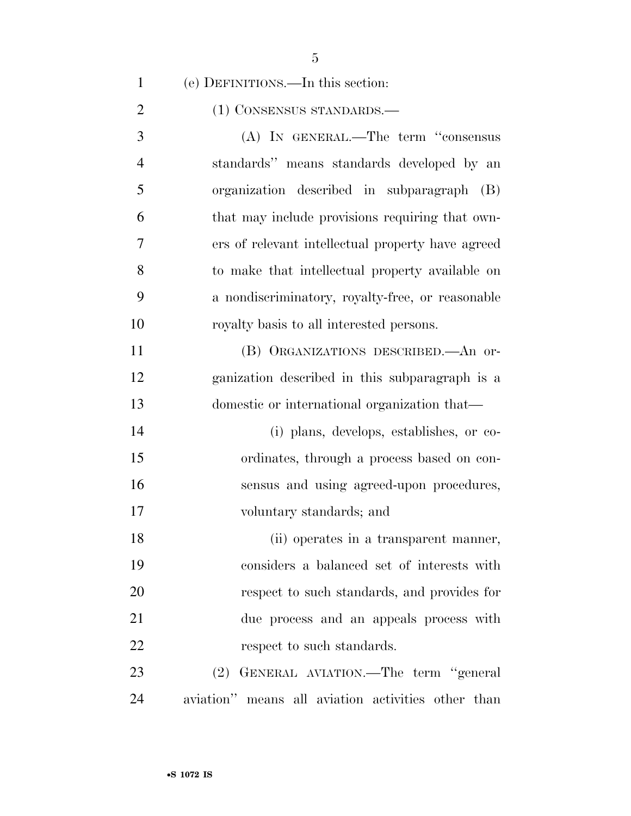| $\mathbf{1}$   | (e) DEFINITIONS.—In this section:                  |
|----------------|----------------------------------------------------|
| $\overline{2}$ | (1) CONSENSUS STANDARDS.—                          |
| 3              | (A) IN GENERAL.—The term "consensus                |
| $\overline{4}$ | standards" means standards developed by an         |
| 5              | organization described in subparagraph<br>(B)      |
| 6              | that may include provisions requiring that own-    |
| 7              | ers of relevant intellectual property have agreed  |
| 8              | to make that intellectual property available on    |
| 9              | a nondiscriminatory, royalty-free, or reasonable   |
| 10             | royalty basis to all interested persons.           |
| 11             | (B) ORGANIZATIONS DESCRIBED. An or-                |
| 12             | ganization described in this subparagraph is a     |
| 13             | domestic or international organization that—       |
| 14             | (i) plans, develops, establishes, or co-           |
| 15             | ordinates, through a process based on con-         |
| 16             | sensus and using agreed-upon procedures,           |
| 17             | voluntary standards; and                           |
| 18             | (ii) operates in a transparent manner,             |
| 19             | considers a balanced set of interests with         |
| 20             | respect to such standards, and provides for        |
| 21             | due process and an appeals process with            |
| 22             | respect to such standards.                         |
| 23             | (2) GENERAL AVIATION.—The term "general            |
| 24             | aviation" means all aviation activities other than |